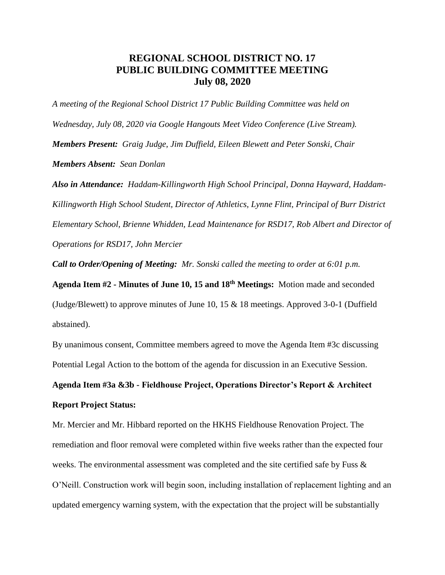## **REGIONAL SCHOOL DISTRICT NO. 17 PUBLIC BUILDING COMMITTEE MEETING July 08, 2020**

*A meeting of the Regional School District 17 Public Building Committee was held on Wednesday, July 08, 2020 via Google Hangouts Meet Video Conference (Live Stream). Members Present: Graig Judge, Jim Duffield, Eileen Blewett and Peter Sonski, Chair Members Absent: Sean Donlan* 

*Also in Attendance: Haddam-Killingworth High School Principal, Donna Hayward, Haddam-Killingworth High School Student, Director of Athletics, Lynne Flint, Principal of Burr District Elementary School, Brienne Whidden, Lead Maintenance for RSD17, Rob Albert and Director of Operations for RSD17, John Mercier*

*Call to Order/Opening of Meeting: Mr. Sonski called the meeting to order at 6:01 p.m.* 

**Agenda Item #2 - Minutes of June 10, 15 and 18th Meetings:** Motion made and seconded (Judge/Blewett) to approve minutes of June 10, 15 & 18 meetings. Approved 3-0-1 (Duffield abstained).

By unanimous consent, Committee members agreed to move the Agenda Item #3c discussing Potential Legal Action to the bottom of the agenda for discussion in an Executive Session.

**Agenda Item #3a &3b - Fieldhouse Project, Operations Director's Report & Architect Report Project Status:**

Mr. Mercier and Mr. Hibbard reported on the HKHS Fieldhouse Renovation Project. The remediation and floor removal were completed within five weeks rather than the expected four weeks. The environmental assessment was completed and the site certified safe by Fuss & O'Neill. Construction work will begin soon, including installation of replacement lighting and an updated emergency warning system, with the expectation that the project will be substantially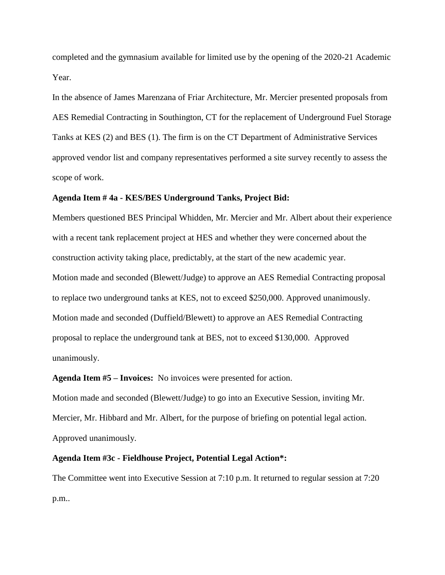completed and the gymnasium available for limited use by the opening of the 2020-21 Academic Year.

In the absence of James Marenzana of Friar Architecture, Mr. Mercier presented proposals from AES Remedial Contracting in Southington, CT for the replacement of Underground Fuel Storage Tanks at KES (2) and BES (1). The firm is on the CT Department of Administrative Services approved vendor list and company representatives performed a site survey recently to assess the scope of work.

## **Agenda Item # 4a - KES/BES Underground Tanks, Project Bid:**

Members questioned BES Principal Whidden, Mr. Mercier and Mr. Albert about their experience with a recent tank replacement project at HES and whether they were concerned about the construction activity taking place, predictably, at the start of the new academic year. Motion made and seconded (Blewett/Judge) to approve an AES Remedial Contracting proposal to replace two underground tanks at KES, not to exceed \$250,000. Approved unanimously. Motion made and seconded (Duffield/Blewett) to approve an AES Remedial Contracting proposal to replace the underground tank at BES, not to exceed \$130,000. Approved unanimously.

**Agenda Item #5 – Invoices:** No invoices were presented for action.

Motion made and seconded (Blewett/Judge) to go into an Executive Session, inviting Mr. Mercier, Mr. Hibbard and Mr. Albert, for the purpose of briefing on potential legal action. Approved unanimously.

## **Agenda Item #3c - Fieldhouse Project, Potential Legal Action\*:**

The Committee went into Executive Session at 7:10 p.m. It returned to regular session at 7:20 p.m..